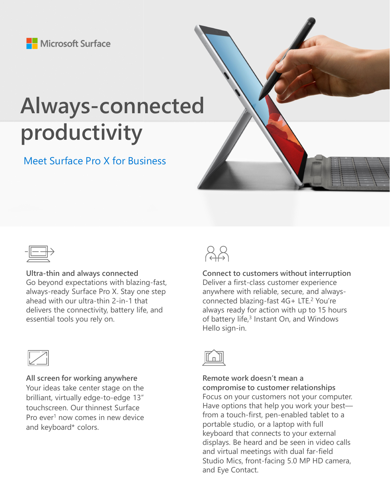Microsoft Surface

## **Always-connected productivity**

## Meet Surface Pro X for Business



**Ultra-thin and always connected** Go beyond expectations with blazing-fast, always-ready Surface Pro X. Stay one step ahead with our ultra-thin 2-in-1 that delivers the connectivity, battery life, and essential tools you rely on.



**All screen for working anywhere** Your ideas take center stage on the brilliant, virtually edge-to-edge 13" touchscreen. Our thinnest Surface Pro ever<sup>1</sup> now comes in new device and keyboard\* colors.



**Connect to customers without interruption** Deliver a first-class customer experience anywhere with reliable, secure, and alwaysconnected blazing-fast 4G+ LTE.<sup>2</sup> You're always ready for action with up to 15 hours of battery life,<sup>3</sup> Instant On, and Windows Hello sign-in.



**Remote work doesn't mean a compromise to customer relationships** Focus on your customers not your computer. Have options that help you work your best from a touch-first, pen-enabled tablet to a portable studio, or a laptop with full keyboard that connects to your external displays. Be heard and be seen in video calls and virtual meetings with dual far-field Studio Mics, front-facing 5.0 MP HD camera, and Eye Contact.